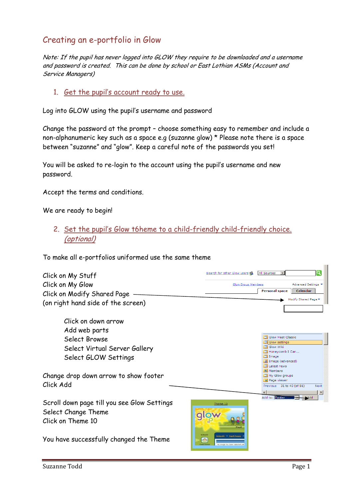## Creating an e-portfolio in Glow

Note: If the pupil has never logged into GLOW they require to be downloaded and a username and password is created. This can be done by school or East Lothian ASMs (Account and Service Managers)

#### 1. Get the pupil's account ready to use.

Log into GLOW using the pupil's username and password

Change the password at the prompt – choose something easy to remember and include a non-alphanumeric key such as a space e.g (suzanne glow) \* Please note there is a space between "suzanne" and "glow". Keep a careful note of the passwords you set!

You will be asked to re-login to the account using the pupil's username and new password.

Accept the terms and conditions.

We are ready to begin!

2. Set the pupil's Glow t6heme to a child-friendly child-friendly choice. (optional)

To make all e-portfolios uniformed use the same theme

| Click on My Stuff<br>Click on My Glow<br>Click on Modify Shared Page<br>(on right hand side of the screen)                                                           | Q<br>All Sources<br>Search for other Glow users go<br>Advanced Settings<br>Glow Group Members<br><b>Personal space</b><br>Calendar<br>Modify Shared Page *                                                             |
|----------------------------------------------------------------------------------------------------------------------------------------------------------------------|------------------------------------------------------------------------------------------------------------------------------------------------------------------------------------------------------------------------|
| Click on down arrow<br>Add web parts<br>Select Browse<br>Select Virtual Server Gallery<br>Select GLOW Settings<br>Change drop down arrow to show footer<br>Click Add | <b>B</b> Glow Meet Classic<br>$\Box$ Glow settings<br>Glow Wiki<br>Honevcomb I Can<br>$\Box$ Image<br>Image (advanced)<br>Latest news<br>Members<br>My Glow groups<br>Page viewer<br>Previous 31 to 40 (of 56)<br>Next |
| Scroll down page till you see Glow Settings<br>Select Change Theme<br>Click on Theme 10<br>You have successfully changed the Theme                                   | Add to: Footer<br>Theme 10<br><b>School2</b><br><b>Bohool2 - Pupil Pages</b><br>$\triangle$                                                                                                                            |

 $\sim$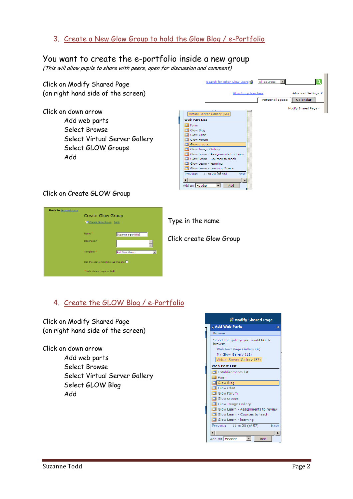3. Create a New Glow Group to hold the Glow Blog / e-Portfolio

### You want to create the e-portfolio inside a new group

(This will allow pupils to share with peers, open for discussion and comment)

| Click on Modify Shared Page<br>(on right hand side of the screen) | Search for other Glow users St<br>All Sources<br>Glow Group Members<br>Advanced Settings<br><b>Personal space</b><br><b>Calendar</b> |
|-------------------------------------------------------------------|--------------------------------------------------------------------------------------------------------------------------------------|
| Click on down arrow                                               | Modify Shared Page *<br>Virtual Server Gallery (56)                                                                                  |
| Add web parts                                                     | <b>Web Part List</b><br><b>Ell</b> Form                                                                                              |
| Select Browse                                                     | Glow Blog<br>Glow Chat                                                                                                               |
| Select Virtual Server Gallery                                     | Glow Forum<br>Glow groups                                                                                                            |
| Select GLOW Groups                                                | Glow Image Gallery<br>Glow Learn - Assignments to review                                                                             |
| Add                                                               | Glow Learn - Courses to teach<br>Glow Learn - learning                                                                               |
|                                                                   | Glow Learn - Learning Space                                                                                                          |
|                                                                   | 11 to 20 (of 56)<br><b>Previous</b><br>Next<br>Add to: Header<br>Add                                                                 |

#### Click on Create GLOW Group

| <b>Back to Personal space</b> |                                          |                        |  |     |
|-------------------------------|------------------------------------------|------------------------|--|-----|
|                               | <b>Create Glow Group</b>                 |                        |  |     |
|                               | Create Glow Group Back                   |                        |  |     |
|                               |                                          |                        |  |     |
|                               | Name*                                    | Suzanne e-portfolio    |  |     |
|                               | Description                              |                        |  | Cli |
|                               | Template                                 |                        |  |     |
|                               |                                          | <b>Full Glow Group</b> |  |     |
|                               | Use the same members as this site $\Box$ |                        |  |     |
|                               | * indicates a required field             |                        |  |     |
|                               |                                          |                        |  |     |

pe in the name

ick create Glow Group

#### 4. Create the GLOW Blog / e-Portfolio

Click on Modify Shared Page (on right hand side of the screen)

Click on down arrow

 Add web parts Select Browse Select Virtual Server Gallery Select GLOW Blog Add

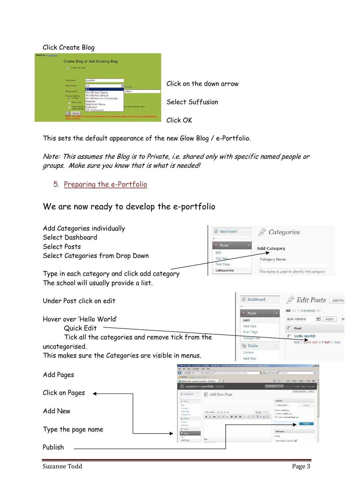#### Click Create Blog

| <b>Back to Noticeboard</b>                    |                                                                                      |                       |                         |
|-----------------------------------------------|--------------------------------------------------------------------------------------|-----------------------|-------------------------|
|                                               | Create Blog or Add Existing Blog                                                     |                       |                         |
| Create new blog                               |                                                                                      |                       |                         |
|                                               |                                                                                      |                       |                         |
| <b>Blog Name</b>                              | e-portfolio                                                                          |                       |                         |
| <b>Blog Theme</b>                             | K <sub>2</sub>                                                                       | Preview.              | Click on the down arrow |
| <b>Blog location</b>                          | K <sub>2</sub><br><b>WordPress Classic</b>                                           | portfolio             |                         |
| <b>Privacy Setting</b><br>Private<br>$\sigma$ | <b>WordPress Default</b><br>WordPress mu Homepage                                    |                       |                         |
| Glow Only                                     | Regulus<br><b>Spectrum News</b>                                                      |                       | Select Suffusion        |
| Public (Note:<br>Administrator                | Suffusion<br>WP-Andreas01                                                            | ion Administrator and |                         |
| Cancel<br>OK                                  |                                                                                      |                       |                         |
| setup in Glow.                                | Note: You will not receive notification of comments unless you have an email address |                       | Click OK                |
|                                               |                                                                                      |                       |                         |

This sets the default appearance of the new Glow Blog / e-Portfolio.

Note: This assumes the Blog is to Private, i.e. shared only with specific named people or groups. Make sure you know that is what is needed!

5. Preparing the e-Portfolio

## We are now ready to develop the e-portfolio

| Add Categories individually<br>Select Dashboard      |                                                                                                                                                                                    | <b>Bashboard</b>                    | $\mathcal{P}$ Categories                                                                                                                                                                                                                                                  |
|------------------------------------------------------|------------------------------------------------------------------------------------------------------------------------------------------------------------------------------------|-------------------------------------|---------------------------------------------------------------------------------------------------------------------------------------------------------------------------------------------------------------------------------------------------------------------------|
| Select Posts                                         | <b>SP</b>                                                                                                                                                                          | Posts                               | <b>Add Category</b>                                                                                                                                                                                                                                                       |
| Select Categories from Drop Down                     | Edit<br>Add Ne                                                                                                                                                                     | Post Tags                           | Category Name                                                                                                                                                                                                                                                             |
| Type in each category and click add category         |                                                                                                                                                                                    | Categories                          | The name is used to identify the category                                                                                                                                                                                                                                 |
| The school will usually provide a list.              |                                                                                                                                                                                    |                                     |                                                                                                                                                                                                                                                                           |
| Under Post click on edit                             |                                                                                                                                                                                    | <b><i>Oashboard</i></b>             | <b>Edit Posts</b><br>Add Nev                                                                                                                                                                                                                                              |
|                                                      |                                                                                                                                                                                    | o<br>Posts                          | All (1)   Published (1)                                                                                                                                                                                                                                                   |
| Hover over 'Hello World'                             |                                                                                                                                                                                    | Edit                                | <sub>S</sub><br><b>Bulk Actions</b><br>$\overline{\phantom{a}}$<br>Apply                                                                                                                                                                                                  |
| Quick Edit                                           |                                                                                                                                                                                    | Add New<br>Post Tags                | $\Gamma$ Post                                                                                                                                                                                                                                                             |
| Tick all the categories and remove tick from the     |                                                                                                                                                                                    | Categories                          | F Hello world!<br>Quick Edit   Trash   View<br>Edit                                                                                                                                                                                                                       |
| uncategorised.                                       |                                                                                                                                                                                    | 噪 Media                             |                                                                                                                                                                                                                                                                           |
| This makes sure the Categories are visible in menus. |                                                                                                                                                                                    | Library<br>Add New                  |                                                                                                                                                                                                                                                                           |
| Add Pages                                            | bttps://blogs.glowscotland.org.uk/el/suzennese-portfolio/wp-admin/page-new.php<br>B Web Sice Gallery<br>Add New Page < suzanne's e-portfolio -- WordPress<br>suzanne's e-portfolio |                                     | $-16$ $\times$<br>$\frac{1}{2}$ <b>8 8 4</b> $\times$ <b>P</b> Google UK<br> p <br>$\overrightarrow{r_1}$ + $\overrightarrow{r_2}$ + $\overrightarrow{r_3}$ + $P_{app}$ + $Satexy$ + Tools + $\overrightarrow{r_3}$ +<br>V Howdy, S. Todd   Turbo   Log Out<br>Edit Pages |
| Click on Pages                                       | Add New Page<br><b>Bashboard</b>                                                                                                                                                   |                                     | Screen Options v Help v                                                                                                                                                                                                                                                   |
| Edit<br>Add New                                      | $p^0$ Posts<br>Add New<br>Post Tags<br>Add media: [m] [J] j] @<br>Categorie<br><sup>(2)</sup> Media                                                                                | Visual HTML<br>132 美国<br>$7 - 11 =$ | Publish<br>Save Draft<br>Preview<br><b>Status: Draft Edit</b><br>Visibility: Public Edit<br>Publish immediately Edi                                                                                                                                                       |
| Type the page name<br>Edit                           | Library<br>Add New<br><b>P</b> Links<br>[ <sup>2</sup> ] Page<br>Path                                                                                                              |                                     | <b>Attributes</b><br>Parent                                                                                                                                                                                                                                               |
| Publish                                              | Add New                                                                                                                                                                            |                                     | Main Page (no parent)                                                                                                                                                                                                                                                     |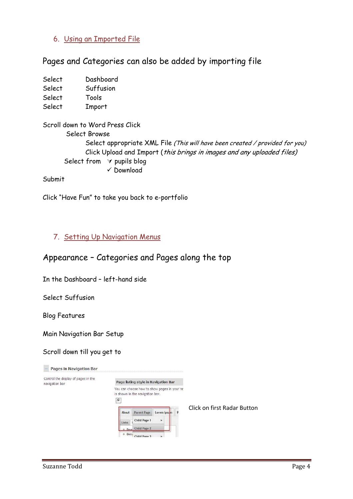## 6. Using an Imported File

### Pages and Categories can also be added by importing file

| Select | Dashboard |
|--------|-----------|
| Select | Suffusion |
| Select | Tools     |
| Select | Import    |

Scroll down to Word Press Click Select Browse Select appropriate XML File (This will have been created / provided for you) Click Upload and Import (this brings in images and any uploaded files) Select from  $\forall$  pupils blog  $\sqrt{2}$ Download

Submit

Click "Have Fun" to take you back to e-portfolio

#### 7. Setting Up Navigation Menus

## Appearance – Categories and Pages along the top

In the Dashboard – left-hand side

Select Suffusion

Blog Features

Main Navigation Bar Setup

#### Scroll down till you get to

| $\epsilon$ |              |                   |                                 |                                                                                                                              |
|------------|--------------|-------------------|---------------------------------|------------------------------------------------------------------------------------------------------------------------------|
| About      | Parent Page  | Lorem Ipsum       | p                               |                                                                                                                              |
| Links      | Child Page 1 | $\rightarrow$     |                                 |                                                                                                                              |
|            |              |                   |                                 |                                                                                                                              |
|            |              | Desa Child Page 2 | is shown in the navigation bar. | Page listing style in Navigation Bar<br>You can choose how to show pages in your na<br>Click on first Radar Button<br>· Docu |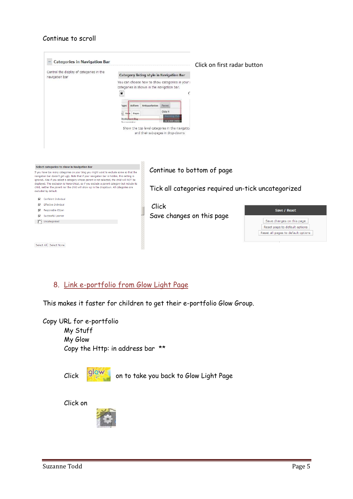#### Continue to scroll



## 8. Link e-portfolio from Glow Light Page

This makes it faster for children to get their e-portfolio Glow Group.

Copy URL for e-portfolio My Stuff My Glow Copy the Http: in address bar \*\*

| Click |
|-------|
|       |

on to take you back to Glow Light Page

Click on

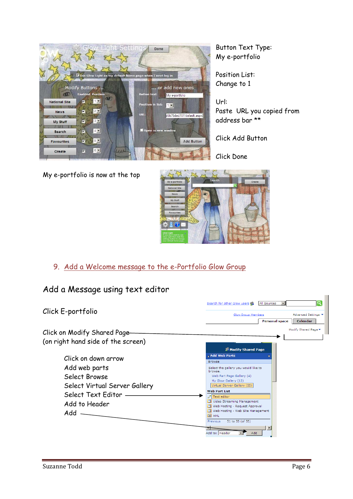

Button Text Type: My e-portfolio

Position List: Change to 1

Url: Paste URL you copied from address bar \*\*

Click Add Button

Click Done

My e-portfolio is now at the top



## 9. Add a Welcome message to the e-Portfolio Glow Group

## Add a Message using text editor

|                                    | Q<br>Search for other Glow users go<br>All Sources                           |  |  |
|------------------------------------|------------------------------------------------------------------------------|--|--|
| Click E-portfolio                  | Advanced Settings<br>Glow Group Members<br><b>Personal space</b><br>Calendar |  |  |
| Click on Modify Shared Page-       | Modify Shared Page Y                                                         |  |  |
| (on right hand side of the screen) |                                                                              |  |  |
|                                    | <b>Modify Shared Page</b>                                                    |  |  |
| Click on down arrow                | 4 Add Web Parts<br>×<br><b>Browse</b>                                        |  |  |
| Add web parts                      | Select the gallery you would like to<br>browse.                              |  |  |
| Select Browse                      | Web Part Page Gallery (4)                                                    |  |  |
| Select Virtual Server Gallery      | My Glow Gallery (12)<br>Virtual Server Gallery (55)                          |  |  |
| Select Text Editor -               | <b>Web Part List</b><br>Text editor                                          |  |  |
| Add to Header                      | Video Streaming Management<br>Web Hosting - Request Approval                 |  |  |
| Add                                | Web Hosting - Web Site Management<br>国 XML                                   |  |  |
|                                    | 51 to 55 (of 55)<br>Previous                                                 |  |  |
|                                    | Add to: Header<br>Add                                                        |  |  |
|                                    |                                                                              |  |  |

 $\mathbb{R}^2$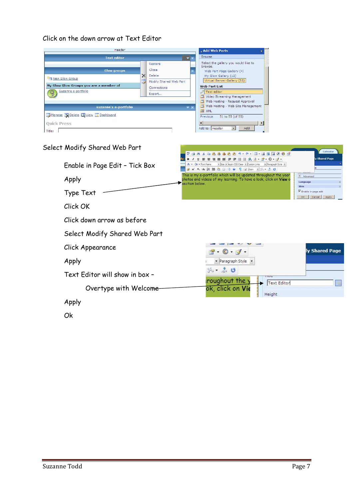#### Click on the down arrow at Text Editor

| Header                                                                                                 |                |                                                                               | , Add Web Parts                                                                                                                                                                                                                                                                                                                                                                                                                                                |
|--------------------------------------------------------------------------------------------------------|----------------|-------------------------------------------------------------------------------|----------------------------------------------------------------------------------------------------------------------------------------------------------------------------------------------------------------------------------------------------------------------------------------------------------------------------------------------------------------------------------------------------------------------------------------------------------------|
| <b>Text editor</b>                                                                                     |                |                                                                               | <b>Browse</b>                                                                                                                                                                                                                                                                                                                                                                                                                                                  |
| <b>Glow groups</b><br>New Glow Group<br>My Glow Glow Groups you are a member of<br>Suzanne e-portfolio | $\times$<br>U. | Restore<br>Close<br>Delete<br>Modify Shared Web Part<br>Connections<br>Export | Select the gallery you would like to<br>browse.<br>Web Part Page Gallery (4)<br>My Glow Gallery (12)<br>Virtual Server Gallery (55)<br><b>Web Part List</b><br>Text editor<br>Video Streaming Management<br>Web Hosting - Request Approval                                                                                                                                                                                                                     |
| suzanne's e-portfolio                                                                                  |                | $\mathbf{v} \times$                                                           | Web Hosting - Web Site Management                                                                                                                                                                                                                                                                                                                                                                                                                              |
| Manage Delete O View B Dashboard<br><b>Ouick Press</b><br>Title:                                       |                |                                                                               | <b>EN XML</b><br>Previous<br>51 to 55 (of 55)<br>麵<br>$\begin{picture}(20,20) \put(0,0){\line(1,0){10}} \put(15,0){\line(1,0){10}} \put(15,0){\line(1,0){10}} \put(15,0){\line(1,0){10}} \put(15,0){\line(1,0){10}} \put(15,0){\line(1,0){10}} \put(15,0){\line(1,0){10}} \put(15,0){\line(1,0){10}} \put(15,0){\line(1,0){10}} \put(15,0){\line(1,0){10}} \put(15,0){\line(1,0){10}} \put(15,0){\line(1$<br>Add to: Header<br>Add<br>$\overline{\phantom{a}}$ |



Ok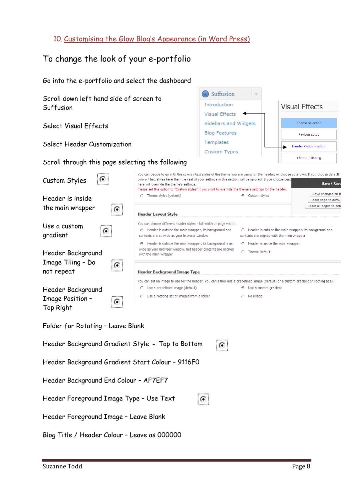## 10. Customising the Glow Blog's Appearance (in Word Press)

# To change the look of your e-portfolio

| Go into the e-portfolio and select the dashboard |                                                                                                                                                                                                                                                                                                                                                                                                                |                                       |                         |                                            |  |
|--------------------------------------------------|----------------------------------------------------------------------------------------------------------------------------------------------------------------------------------------------------------------------------------------------------------------------------------------------------------------------------------------------------------------------------------------------------------------|---------------------------------------|-------------------------|--------------------------------------------|--|
| Scroll down left hand side of screen to          |                                                                                                                                                                                                                                                                                                                                                                                                                | Suffusion                             |                         |                                            |  |
| Suffusion                                        |                                                                                                                                                                                                                                                                                                                                                                                                                | Introduction                          |                         | <b>Visual Effects</b>                      |  |
|                                                  |                                                                                                                                                                                                                                                                                                                                                                                                                | <b>Visual Effects</b>                 |                         |                                            |  |
| Select Visual Effects                            |                                                                                                                                                                                                                                                                                                                                                                                                                | Sidebars and Widgets                  |                         | Theme selection                            |  |
|                                                  |                                                                                                                                                                                                                                                                                                                                                                                                                | <b>Blog Features</b><br>Favicon setup |                         |                                            |  |
| Select Header Customization                      |                                                                                                                                                                                                                                                                                                                                                                                                                | Templates                             |                         | <b>Header Customization</b>                |  |
| Scroll through this page selecting the following |                                                                                                                                                                                                                                                                                                                                                                                                                | Custom Types                          |                         | Theme Skinning                             |  |
| $\circ$<br>Custom Styles                         | You can decide to go with the colors / text styles of the theme you are using for the header, or choose your own. If you choose default<br>colors / text styles here then the rest of your settings in this section will be ignored. If you choose custi<br>here will override the theme's settings.<br>Please set this option to "Custom styles" if you want to override the theme's settings for the header. |                                       |                         | Save / Rese                                |  |
| Header is inside                                 | <b>C</b> Theme styles (default)                                                                                                                                                                                                                                                                                                                                                                                |                                       | C Custom styles         | Save changes on th<br>Reset page to defaul |  |
| the main wrapper                                 |                                                                                                                                                                                                                                                                                                                                                                                                                |                                       |                         | Reset all pages to defa                    |  |
| Ю.                                               | <b>Header Layout Style</b>                                                                                                                                                                                                                                                                                                                                                                                     |                                       |                         |                                            |  |
| Use a custom<br>$\circ$<br>gradient              | You can choose different header styles - full width or page width:<br>Header is outside the main wrapper, its background and<br>C Header is outside the main wrapper, its background and<br>0.<br>contents are as wide as your browser window<br>contents are aligned with the main wrapper<br>Header is outside the main wrapper, its background is as<br>C Header is inside the main wrapper<br>⊙            |                                       |                         |                                            |  |
| Header Background                                | wide as your browser window, but header contents are aligned<br>with the main wrapper                                                                                                                                                                                                                                                                                                                          |                                       | C Theme Default         |                                            |  |
| Image Tiling - Do                                |                                                                                                                                                                                                                                                                                                                                                                                                                |                                       |                         |                                            |  |
| :O.<br>not repeat                                | Header Background Image Type                                                                                                                                                                                                                                                                                                                                                                                   |                                       |                         |                                            |  |
|                                                  | You can set an image to use for the header. You can either use a predefined image (default) or a custom gradient or nothing at all.                                                                                                                                                                                                                                                                            |                                       |                         |                                            |  |
| Header Background                                | Use a predefined image (default)<br>o                                                                                                                                                                                                                                                                                                                                                                          |                                       | ⊙ Use a custom gradient |                                            |  |
| Image Position -                                 | C Use a rotating set of images from a folder                                                                                                                                                                                                                                                                                                                                                                   |                                       | C No image              |                                            |  |
| Ю.<br>Top Right                                  |                                                                                                                                                                                                                                                                                                                                                                                                                |                                       |                         |                                            |  |
| Folder for Rotating - Leave Blank                |                                                                                                                                                                                                                                                                                                                                                                                                                |                                       |                         |                                            |  |
| Header Background Gradient Style - Top to Bottom |                                                                                                                                                                                                                                                                                                                                                                                                                | O.                                    |                         |                                            |  |
| Header Background Gradient Start Colour - 9116F0 |                                                                                                                                                                                                                                                                                                                                                                                                                |                                       |                         |                                            |  |
| Header Background End Colour - AF7EF7            |                                                                                                                                                                                                                                                                                                                                                                                                                |                                       |                         |                                            |  |
| Header Foreground Image Type - Use Text          |                                                                                                                                                                                                                                                                                                                                                                                                                | $\circ$                               |                         |                                            |  |
| Header Foreground Image - Leave Blank            |                                                                                                                                                                                                                                                                                                                                                                                                                |                                       |                         |                                            |  |
| Blog Title / Header Colour - Leave as 000000     |                                                                                                                                                                                                                                                                                                                                                                                                                |                                       |                         |                                            |  |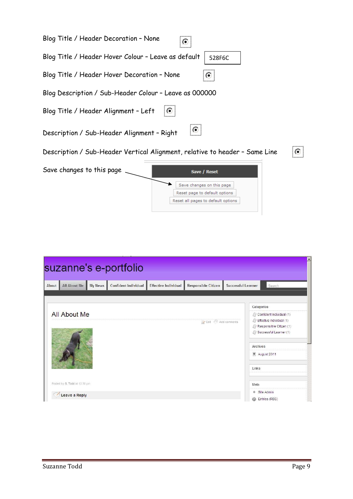| Blog Title / Header Decoration - None<br>r                                                       |
|--------------------------------------------------------------------------------------------------|
| Blog Title / Header Hover Colour - Leave as default<br>528F6C                                    |
| Blog Title / Header Hover Decoration - None                                                      |
| Blog Description / Sub-Header Colour - Leave as 000000                                           |
| Ю<br>Blog Title / Header Alignment - Left                                                        |
| o<br>Description / Sub-Header Alignment - Right                                                  |
| Description / Sub-Header Vertical Alignment, relative to header - Same Line<br>⊙                 |
| Save changes to this page<br>Save / Reset                                                        |
| Save changes on this page<br>Reset page to default options<br>Reset all pages to default options |

|                               |         | suzanne's e-portfolio       |                             |                                               |                    |                                                                                                                         |
|-------------------------------|---------|-----------------------------|-----------------------------|-----------------------------------------------|--------------------|-------------------------------------------------------------------------------------------------------------------------|
| All About Me<br><b>About</b>  | My News | <b>Confident Individual</b> | <b>Effective Individual</b> | Responsible Citizen                           | Successful Learner | Search                                                                                                                  |
|                               |         |                             |                             |                                               |                    | Categories                                                                                                              |
| <b>All About Me</b>           |         |                             |                             | $\triangleright$ Edit $\bigcirc$ Add comments |                    | Confident Individual (1)<br>/ Effective Individual (1)<br>Responsible Citizen (1)<br>Successful Learner (1)<br>Archives |
|                               |         |                             |                             |                                               | Links              | <sup>18</sup> August 2011                                                                                               |
| Posted by S. Todd at 12:30 pm |         |                             |                             |                                               | Meta               |                                                                                                                         |
| Leave a Reply                 |         |                             |                             |                                               | ை                  | Site Admin<br>Entries (RSS)                                                                                             |